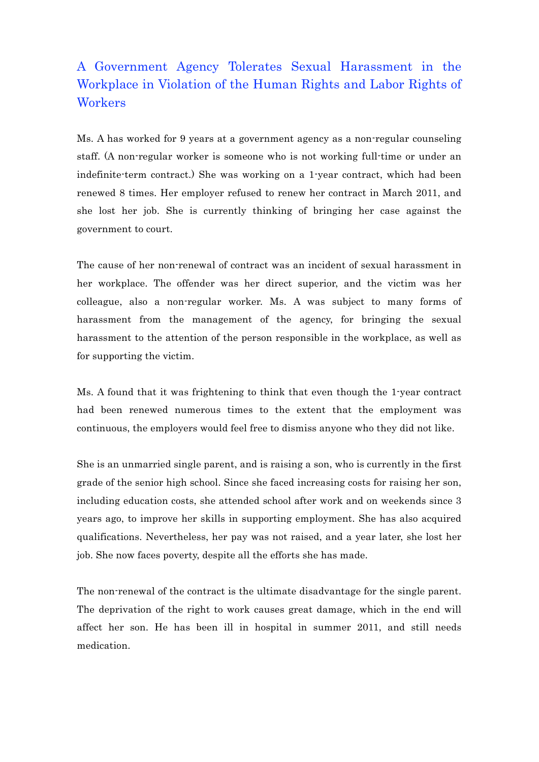## A Government Agency Tolerates Sexual Harassment in the Workplace in Violation of the Human Rights and Labor Rights of **Workers**

Ms. A has worked for 9 years at a government agency as a non-regular counseling staff. (A non-regular worker is someone who is not working full-time or under an indefinite-term contract.) She was working on a 1-year contract, which had been renewed 8 times. Her employer refused to renew her contract in March 2011, and she lost her job. She is currently thinking of bringing her case against the government to court.

The cause of her non-renewal of contract was an incident of sexual harassment in her workplace. The offender was her direct superior, and the victim was her colleague, also a non-regular worker. Ms. A was subject to many forms of harassment from the management of the agency, for bringing the sexual harassment to the attention of the person responsible in the workplace, as well as for supporting the victim.

Ms. A found that it was frightening to think that even though the 1-year contract had been renewed numerous times to the extent that the employment was continuous, the employers would feel free to dismiss anyone who they did not like.

She is an unmarried single parent, and is raising a son, who is currently in the first grade of the senior high school. Since she faced increasing costs for raising her son, including education costs, she attended school after work and on weekends since 3 years ago, to improve her skills in supporting employment. She has also acquired qualifications. Nevertheless, her pay was not raised, and a year later, she lost her job. She now faces poverty, despite all the efforts she has made.

The non-renewal of the contract is the ultimate disadvantage for the single parent. The deprivation of the right to work causes great damage, which in the end will affect her son. He has been ill in hospital in summer 2011, and still needs medication.